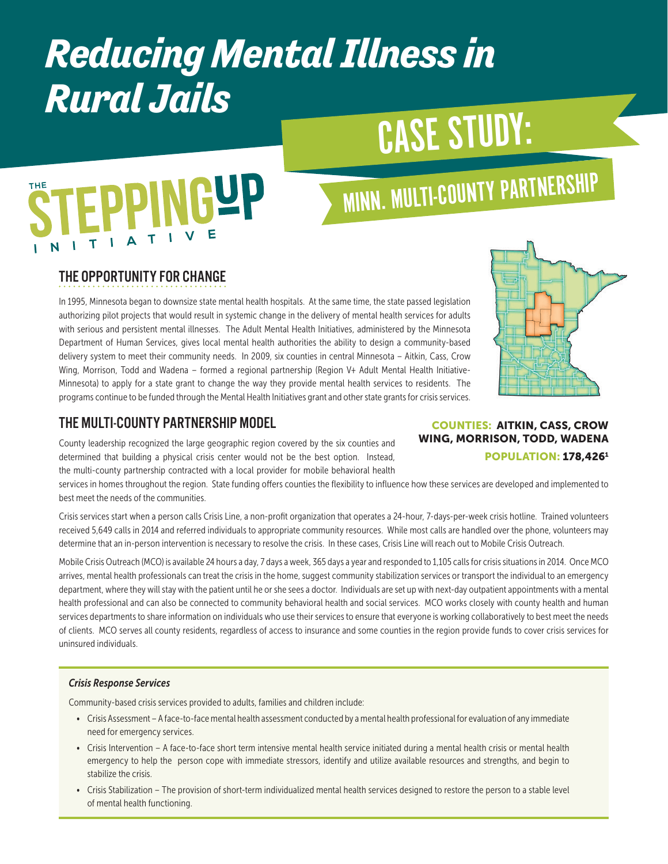# *Reducing Mental Illness in Rural Jails*

# CASE STUDY:

# **EPPINGUP**

# MINN. MULTI-COUNTY PARTNERSHIP

## THE OPPORTUNITY FOR CHANGE

In 1995, Minnesota began to downsize state mental health hospitals. At the same time, the state passed legislation authorizing pilot projects that would result in systemic change in the delivery of mental health services for adults with serious and persistent mental illnesses. The Adult Mental Health Initiatives, administered by the Minnesota Department of Human Services, gives local mental health authorities the ability to design a community-based delivery system to meet their community needs. In 2009, six counties in central Minnesota – Aitkin, Cass, Crow Wing, Morrison, Todd and Wadena – formed a regional partnership (Region V+ Adult Mental Health Initiative-Minnesota) to apply for a state grant to change the way they provide mental health services to residents. The programs continue to be funded through the Mental Health Initiatives grant and other state grants for crisis services.



## THE MULTI-COUNTY PARTNERSHIP MODEL

County leadership recognized the large geographic region covered by the six counties and determined that building a physical crisis center would not be the best option. Instead, the multi-county partnership contracted with a local provider for mobile behavioral health

services in homes throughout the region. State funding offers counties the flexibility to influence how these services are developed and implemented to best meet the needs of the communities.

Crisis services start when a person calls Crisis Line, a non-profit organization that operates a 24-hour, 7-days-per-week crisis hotline. Trained volunteers received 5,649 calls in 2014 and referred individuals to appropriate community resources. While most calls are handled over the phone, volunteers may determine that an in-person intervention is necessary to resolve the crisis. In these cases, Crisis Line will reach out to Mobile Crisis Outreach.

Mobile Crisis Outreach (MCO) is available 24 hours a day, 7 days a week, 365 days a year and responded to 1,105 calls for crisis situations in 2014. Once MCO arrives, mental health professionals can treat the crisis in the home, suggest community stabilization services or transport the individual to an emergency department, where they will stay with the patient until he or she sees a doctor. Individuals are set up with next-day outpatient appointments with a mental health professional and can also be connected to community behavioral health and social services. MCO works closely with county health and human services departments to share information on individuals who use their services to ensure that everyone is working collaboratively to best meet the needs of clients. MCO serves all county residents, regardless of access to insurance and some counties in the region provide funds to cover crisis services for uninsured individuals.

#### *Crisis Response Services*

Community-based crisis services provided to adults, families and children include:

- Crisis Assessment A face-to-face mental health assessment conducted by a mental health professional for evaluation of any immediate need for emergency services.
- Crisis Intervention A face-to-face short term intensive mental health service initiated during a mental health crisis or mental health emergency to help the person cope with immediate stressors, identify and utilize available resources and strengths, and begin to stabilize the crisis.
- Crisis Stabilization The provision of short-term individualized mental health services designed to restore the person to a stable level of mental health functioning.

#### COUNTIES: AITKIN, CASS, CROW WING, MORRISON, TODD, WADENA POPULATION: 178,4261